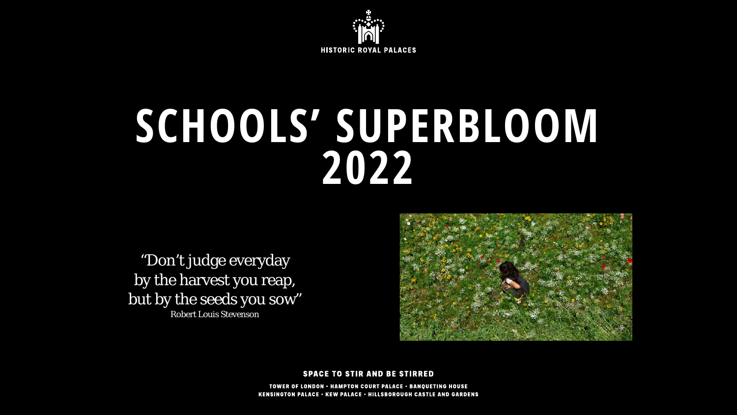

# **SCHOOLS' SUPERBLOOM 2022**

"Don't judge everyday by the harvest you reap, but by the seeds you sow" Robert Louis Stevenson



**SPACE TO STIR AND BE STIRRED** 

TOWER OF LONDON - HAMPTON COURT PALACE - BANQUETING HOUSE **KENSINGTON PALACE • KEW PALACE • HILLSBOROUGH CASTLE AND GARDENS**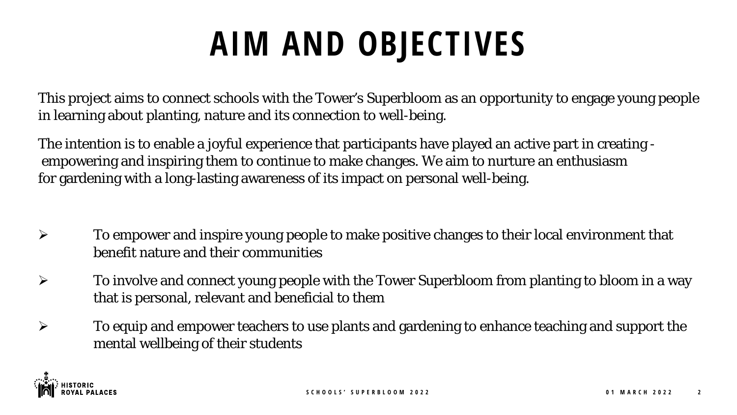### **AIM AND OBJECTIVES**

This project aims to connect schools with the Tower's Superbloom as an opportunity to engage young people in learning about planting, nature and its connection to well-being.

The intention is to enable a joyful experience that participants have played an active part in creating empowering and inspiring them to continue to make changes. We aim to nurture an enthusiasm for gardening with a long-lasting awareness of its impact on personal well-being.

- $\triangleright$  To empower and inspire young people to make positive changes to their local environment that benefit nature and their communities
- $\triangleright$  To involve and connect young people with the Tower Superbloom from planting to bloom in a way that is personal, relevant and beneficial to them
- $\triangleright$  To equip and empower teachers to use plants and gardening to enhance teaching and support the mental wellbeing of their students

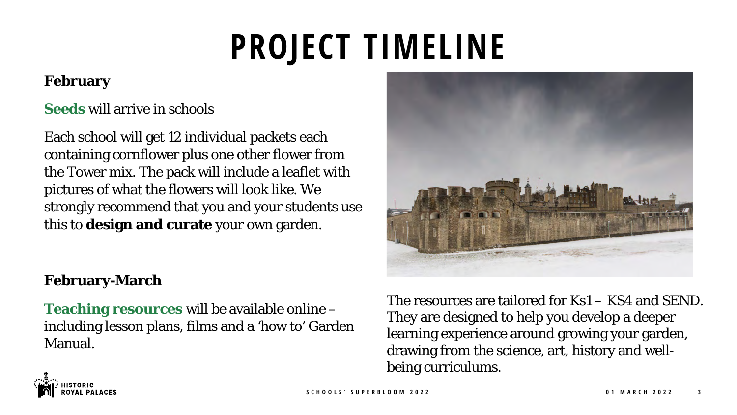## **PROJECT TIMELINE**

#### **February**

#### **Seeds** will arrive in schools

Each school will get 12 individual packets each containing cornflower plus one other flower from the Tower mix. The pack will include a leaflet with pictures of what the flowers will look like. We strongly recommend that you and your students use this to **design and curate** your own garden.

#### **February-March**

**Teaching resources** will be available online – including lesson plans, films and a 'how to' Garden Manual.



The resources are tailored for Ks1 – KS4 and SEND. They are designed to help you develop a deeper learning experience around growing your garden, drawing from the science, art, history and wellbeing curriculums.

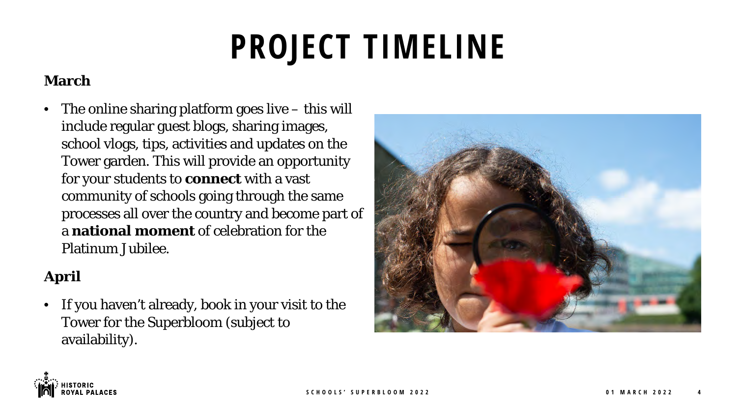## **PROJECT TIMELINE**

### **March**

• The online sharing platform goes live – this will include regular guest blogs, sharing images, school vlogs, tips, activities and updates on the Tower garden. This will provide an opportunity for your students to **connect** with a vast community of schools going through the same processes all over the country and become part of a **national moment** of celebration for the Platinum Jubilee.

### **April**

• If you haven't already, book in your visit to the Tower for the Superbloom (subject to availability).



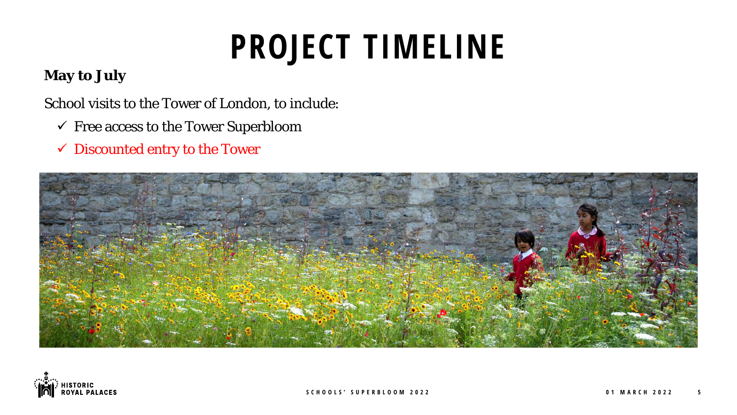## **PROJECT TIMELINE**

#### **May to July**

School visits to the Tower of London, to include:

- $\checkmark$  Free access to the Tower Superbloom
- Discounted entry to the Tower